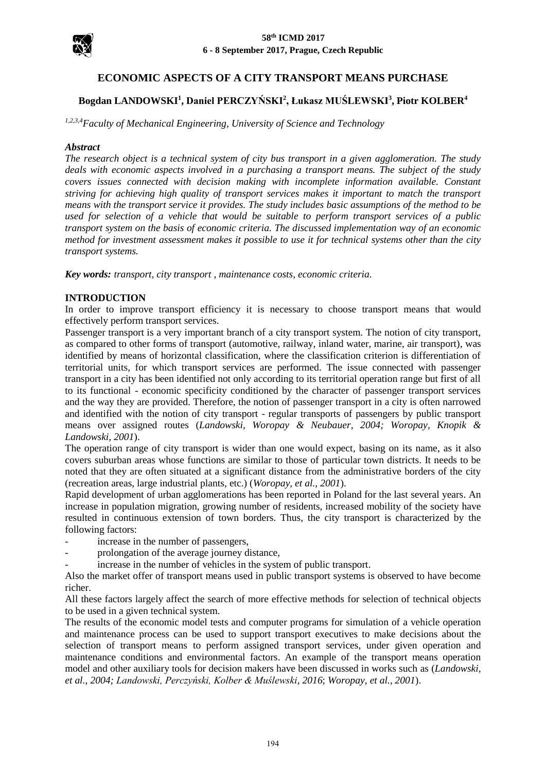

# **ECONOMIC ASPECTS OF A CITY TRANSPORT MEANS PURCHASE**

# **Bogdan LANDOWSKI<sup>1</sup> , Daniel PERCZYŃSKI<sup>2</sup> , Łukasz MUŚLEWSKI<sup>3</sup> , Piotr KOLBER<sup>4</sup>**

*1,2,3,4Faculty of Mechanical Engineering, University of Science and Technology*

## *Abstract*

*The research object is a technical system of city bus transport in a given agglomeration. The study deals with economic aspects involved in a purchasing a transport means. The subject of the study covers issues connected with decision making with incomplete information available. Constant striving for achieving high quality of transport services makes it important to match the transport means with the transport service it provides. The study includes basic assumptions of the method to be used for selection of a vehicle that would be suitable to perform transport services of a public transport system on the basis of economic criteria. The discussed implementation way of an economic method for investment assessment makes it possible to use it for technical systems other than the city transport systems.*

*Key words: transport, city transport , maintenance costs, economic criteria.*

## **INTRODUCTION**

In order to improve transport efficiency it is necessary to choose transport means that would effectively perform transport services.

Passenger transport is a very important branch of a city transport system. The notion of city transport, as compared to other forms of transport (automotive, railway, inland water, marine, air transport), was identified by means of horizontal classification, where the classification criterion is differentiation of territorial units, for which transport services are performed. The issue connected with passenger transport in a city has been identified not only according to its territorial operation range but first of all to its functional - economic specificity conditioned by the character of passenger transport services and the way they are provided. Therefore, the notion of passenger transport in a city is often narrowed and identified with the notion of city transport - regular transports of passengers by public transport means over assigned routes (*Landowski, Woropay & Neubauer, 2004; Woropay, Knopik & Landowski, 2001*).

The operation range of city transport is wider than one would expect, basing on its name, as it also covers suburban areas whose functions are similar to those of particular town districts. It needs to be noted that they are often situated at a significant distance from the administrative borders of the city (recreation areas, large industrial plants, etc.) (*Woropay, et al., 2001*).

Rapid development of urban agglomerations has been reported in Poland for the last several years. An increase in population migration, growing number of residents, increased mobility of the society have resulted in continuous extension of town borders. Thus, the city transport is characterized by the following factors:

- increase in the number of passengers,
- prolongation of the average journey distance,
- increase in the number of vehicles in the system of public transport.

Also the market offer of transport means used in public transport systems is observed to have become richer.

All these factors largely affect the search of more effective methods for selection of technical objects to be used in a given technical system.

The results of the economic model tests and computer programs for simulation of a vehicle operation and maintenance process can be used to support transport executives to make decisions about the selection of transport means to perform assigned transport services, under given operation and maintenance conditions and environmental factors. An example of the transport means operation model and other auxiliary tools for decision makers have been discussed in works such as (*Landowski, et al., 2004; Landowski, Perczyński, Kolber & Muślewski, 2016*; *Woropay, et al., 2001*).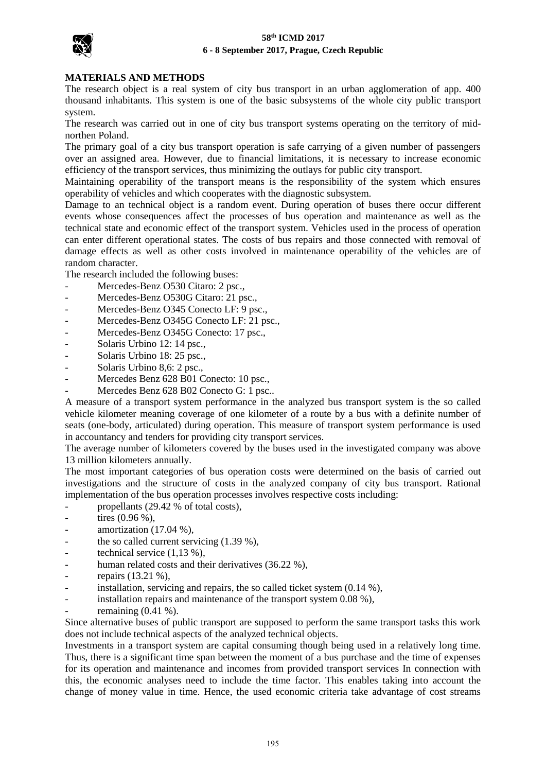

# **MATERIALS AND METHODS**

The research object is a real system of city bus transport in an urban agglomeration of app. 400 thousand inhabitants. This system is one of the basic subsystems of the whole city public transport system.

The research was carried out in one of city bus transport systems operating on the territory of midnorthen Poland.

The primary goal of a city bus transport operation is safe carrying of a given number of passengers over an assigned area. However, due to financial limitations, it is necessary to increase economic efficiency of the transport services, thus minimizing the outlays for public city transport.

Maintaining operability of the transport means is the responsibility of the system which ensures operability of vehicles and which cooperates with the diagnostic subsystem.

Damage to an technical object is a random event. During operation of buses there occur different events whose consequences affect the processes of bus operation and maintenance as well as the technical state and economic effect of the transport system. Vehicles used in the process of operation can enter different operational states. The costs of bus repairs and those connected with removal of damage effects as well as other costs involved in maintenance operability of the vehicles are of random character.

The research included the following buses:

- Mercedes-Benz O530 Citaro: 2 psc.,
- Mercedes-Benz O530G Citaro: 21 psc.,
- Mercedes-Benz O345 Conecto LF: 9 psc.,
- Mercedes-Benz O345G Conecto LF: 21 psc.,
- Mercedes-Benz O345G Conecto: 17 psc.,
- Solaris Urbino 12: 14 psc.,
- Solaris Urbino 18: 25 psc.,
- Solaris Urbino 8,6: 2 psc.,
- Mercedes Benz 628 B01 Conecto: 10 psc.,
- Mercedes Benz 628 B02 Conecto G: 1 psc..

A measure of a transport system performance in the analyzed bus transport system is the so called vehicle kilometer meaning coverage of one kilometer of a route by a bus with a definite number of seats (one-body, articulated) during operation. This measure of transport system performance is used in accountancy and tenders for providing city transport services.

The average number of kilometers covered by the buses used in the investigated company was above 13 million kilometers annually.

The most important categories of bus operation costs were determined on the basis of carried out investigations and the structure of costs in the analyzed company of city bus transport. Rational implementation of the bus operation processes involves respective costs including:

- propellants (29.42 % of total costs),
- tires (0.96 %),
- amortization  $(17.04\%)$ ,
- the so called current servicing  $(1.39\%)$ ,
- technical service  $(1,13,%)$ ,
- human related costs and their derivatives (36.22 %),
- repairs (13.21 %),
- installation, servicing and repairs, the so called ticket system  $(0.14\%)$ ,
- installation repairs and maintenance of the transport system 0.08 %),
- remaining  $(0.41 \%)$ .

Since alternative buses of public transport are supposed to perform the same transport tasks this work does not include technical aspects of the analyzed technical objects.

Investments in a transport system are capital consuming though being used in a relatively long time. Thus, there is a significant time span between the moment of a bus purchase and the time of expenses for its operation and maintenance and incomes from provided transport services In connection with this, the economic analyses need to include the time factor. This enables taking into account the change of money value in time. Hence, the used economic criteria take advantage of cost streams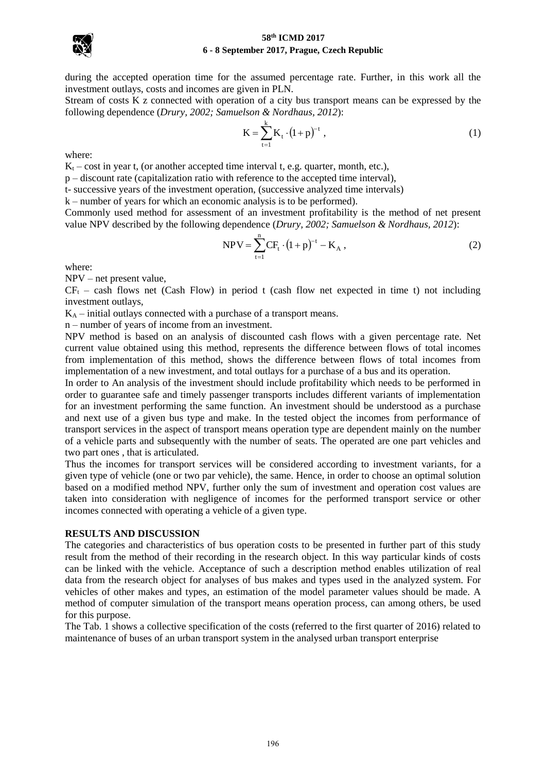

during the accepted operation time for the assumed percentage rate. Further, in this work all the investment outlays, costs and incomes are given in PLN.

Stream of costs K z connected with operation of a city bus transport means can be expressed by the following dependence (*Drury, 2002; Samuelson & Nordhaus, 2012*):

$$
K = \sum_{t=1}^{k} K_t \cdot (1+p)^{-t} , \qquad (1)
$$

where:

 $K_t$  – cost in year t, (or another accepted time interval t, e.g. quarter, month, etc.),

p – discount rate (capitalization ratio with reference to the accepted time interval),

t- successive years of the investment operation, (successive analyzed time intervals)

k – number of years for which an economic analysis is to be performed).

Commonly used method for assessment of an investment profitability is the method of net present value NPV described by the following dependence (*Drury, 2002; Samuelson & Nordhaus, 2012*):

$$
NPV = \sum_{t=1}^{n} CF_t \cdot (1+p)^{-t} - K_A,
$$
\n(2)

where:

NPV – net present value,

 $CF<sub>t</sub>$  – cash flows net (Cash Flow) in period t (cash flow net expected in time t) not including investment outlays,

 $K_A$  – initial outlays connected with a purchase of a transport means.

n – number of years of income from an investment.

NPV method is based on an analysis of discounted cash flows with a given percentage rate. Net current value obtained using this method, represents the difference between flows of total incomes from implementation of this method, shows the difference between flows of total incomes from implementation of a new investment, and total outlays for a purchase of a bus and its operation.

In order to An analysis of the investment should include profitability which needs to be performed in order to guarantee safe and timely passenger transports includes different variants of implementation for an investment performing the same function. An investment should be understood as a purchase and next use of a given bus type and make. In the tested object the incomes from performance of transport services in the aspect of transport means operation type are dependent mainly on the number of a vehicle parts and subsequently with the number of seats. The operated are one part vehicles and two part ones , that is articulated.

Thus the incomes for transport services will be considered according to investment variants, for a given type of vehicle (one or two par vehicle), the same. Hence, in order to choose an optimal solution based on a modified method NPV, further only the sum of investment and operation cost values are taken into consideration with negligence of incomes for the performed transport service or other incomes connected with operating a vehicle of a given type.

#### **RESULTS AND DISCUSSION**

The categories and characteristics of bus operation costs to be presented in further part of this study result from the method of their recording in the research object. In this way particular kinds of costs can be linked with the vehicle. Acceptance of such a description method enables utilization of real data from the research object for analyses of bus makes and types used in the analyzed system. For vehicles of other makes and types, an estimation of the model parameter values should be made. A method of computer simulation of the transport means operation process, can among others, be used for this purpose.

The Tab. 1 shows a collective specification of the costs (referred to the first quarter of 2016) related to maintenance of buses of an urban transport system in the analysed urban transport enterprise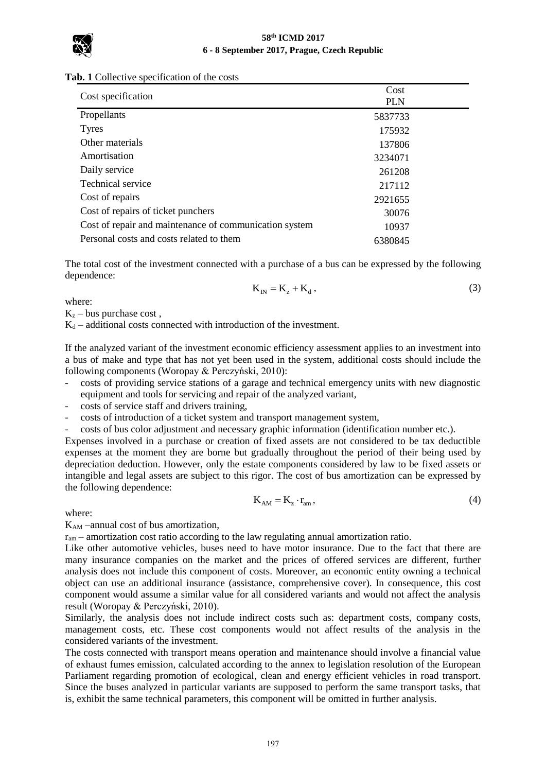

### **Tab. 1** Collective specification of the costs

| Cost specification                                     | Cost       |  |
|--------------------------------------------------------|------------|--|
|                                                        | <b>PLN</b> |  |
| Propellants                                            | 5837733    |  |
| <b>Tyres</b>                                           | 175932     |  |
| Other materials                                        | 137806     |  |
| Amortisation                                           | 3234071    |  |
| Daily service                                          | 261208     |  |
| Technical service                                      | 217112     |  |
| Cost of repairs                                        | 2921655    |  |
| Cost of repairs of ticket punchers                     | 30076      |  |
| Cost of repair and maintenance of communication system | 10937      |  |
| Personal costs and costs related to them               | 6380845    |  |

The total cost of the investment connected with a purchase of a bus can be expressed by the following dependence:

$$
\mathbf{K}_{\rm IN} = \mathbf{K}_{\rm z} + \mathbf{K}_{\rm d} \,,\tag{3}
$$

where:

 $K_z$  – bus purchase cost,

 $K_d$  – additional costs connected with introduction of the investment.

If the analyzed variant of the investment economic efficiency assessment applies to an investment into a bus of make and type that has not yet been used in the system, additional costs should include the following components (Woropay & Perczyński, 2010):

- costs of providing service stations of a garage and technical emergency units with new diagnostic equipment and tools for servicing and repair of the analyzed variant,
- costs of service staff and drivers training,
- costs of introduction of a ticket system and transport management system,
- costs of bus color adjustment and necessary graphic information (identification number etc.).

Expenses involved in a purchase or creation of fixed assets are not considered to be tax deductible expenses at the moment they are borne but gradually throughout the period of their being used by depreciation deduction. However, only the estate components considered by law to be fixed assets or intangible and legal assets are subject to this rigor. The cost of bus amortization can be expressed by the following dependence:

$$
K_{AM} = K_z \cdot r_{am},\tag{4}
$$

where:

KAM –annual cost of bus amortization,

ram – amortization cost ratio according to the law regulating annual amortization ratio.

Like other automotive vehicles, buses need to have motor insurance. Due to the fact that there are many insurance companies on the market and the prices of offered services are different, further analysis does not include this component of costs. Moreover, an economic entity owning a technical object can use an additional insurance (assistance, comprehensive cover). In consequence, this cost component would assume a similar value for all considered variants and would not affect the analysis result (Woropay & Perczyński, 2010).

Similarly, the analysis does not include indirect costs such as: department costs, company costs, management costs, etc. These cost components would not affect results of the analysis in the considered variants of the investment.

The costs connected with transport means operation and maintenance should involve a financial value of exhaust fumes emission, calculated according to the annex to legislation resolution of the European Parliament regarding promotion of ecological, clean and energy efficient vehicles in road transport. Since the buses analyzed in particular variants are supposed to perform the same transport tasks, that is, exhibit the same technical parameters, this component will be omitted in further analysis.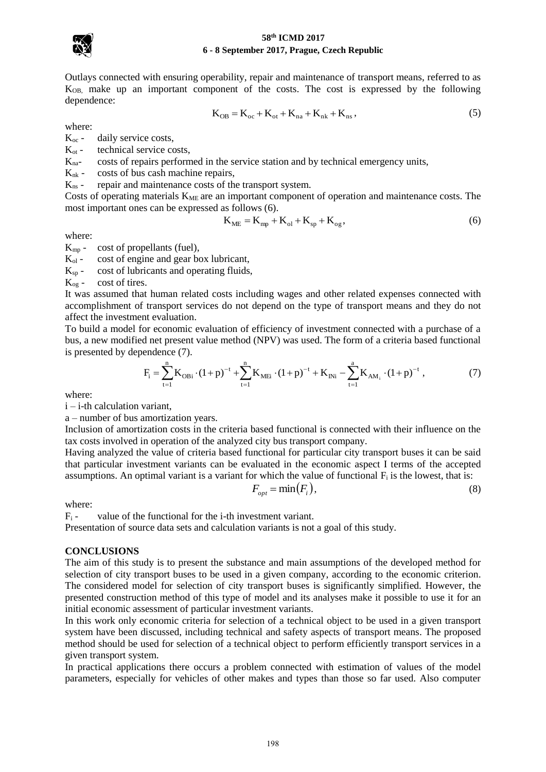

Outlays connected with ensuring operability, repair and maintenance of transport means, referred to as KOB, make up an important component of the costs. The cost is expressed by the following dependence:

$$
K_{OB} = K_{oc} + K_{ot} + K_{na} + K_{nk} + K_{ns},
$$
\n(5)

where:

 $K_{\text{oc}}$  - daily service costs,

 $K_{ot}$  - technical service costs,

Kna- costs of repairs performed in the service station and by technical emergency units,

 $K_{nk}$  - costs of bus cash machine repairs,

Kns - repair and maintenance costs of the transport system.

Costs of operating materials  $K_{ME}$  are an important component of operation and maintenance costs. The most important ones can be expressed as follows (6).

$$
K_{ME} = K_{mp} + K_{ol} + K_{sp} + K_{og},
$$
\n(6)

where:

 $K_{\text{mp}}$  - cost of propellants (fuel),

 $K_{ol}$  - cost of engine and gear box lubricant,

 $K<sub>sp</sub>$  - cost of lubricants and operating fluids,

 $K_{og}$  - cost of tires.

It was assumed that human related costs including wages and other related expenses connected with accomplishment of transport services do not depend on the type of transport means and they do not affect the investment evaluation.

To build a model for economic evaluation of efficiency of investment connected with a purchase of a bus, a new modified net present value method (NPV) was used. The form of a criteria based functional is presented by dependence (7).

$$
F_i = \sum_{t=1}^{n} K_{OBi} \cdot (1+p)^{-t} + \sum_{t=1}^{n} K_{MEi} \cdot (1+p)^{-t} + K_{INi} - \sum_{t=1}^{a} K_{AM_i} \cdot (1+p)^{-t}, \qquad (7)
$$

where:

 $i - i$ -th calculation variant,

a – number of bus amortization years.

Inclusion of amortization costs in the criteria based functional is connected with their influence on the tax costs involved in operation of the analyzed city bus transport company.

Having analyzed the value of criteria based functional for particular city transport buses it can be said that particular investment variants can be evaluated in the economic aspect I terms of the accepted assumptions. An optimal variant is a variant for which the value of functional  $F_i$  is the lowest, that is:

$$
F_{opt} = \min(F_i),\tag{8}
$$

where:

 $F_i$  - value of the functional for the *i*-th investment variant.

Presentation of source data sets and calculation variants is not a goal of this study.

## **CONCLUSIONS**

The aim of this study is to present the substance and main assumptions of the developed method for selection of city transport buses to be used in a given company, according to the economic criterion. The considered model for selection of city transport buses is significantly simplified. However, the presented construction method of this type of model and its analyses make it possible to use it for an initial economic assessment of particular investment variants.

In this work only economic criteria for selection of a technical object to be used in a given transport system have been discussed, including technical and safety aspects of transport means. The proposed method should be used for selection of a technical object to perform efficiently transport services in a given transport system.

In practical applications there occurs a problem connected with estimation of values of the model parameters, especially for vehicles of other makes and types than those so far used. Also computer